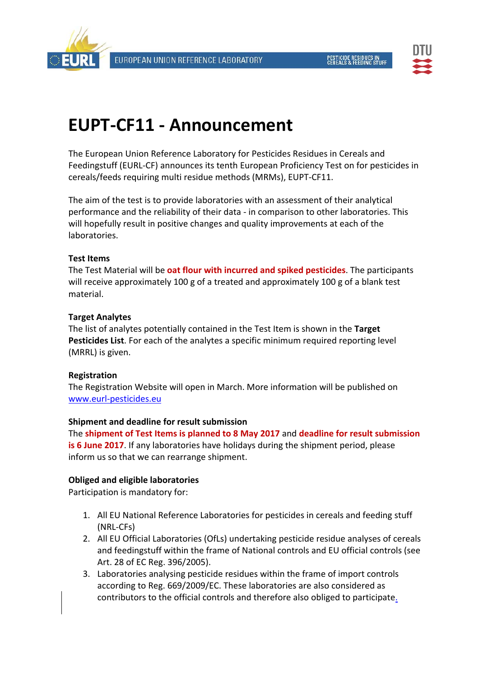



# **EUPT‐CF11 ‐ Announcement**

The European Union Reference Laboratory for Pesticides Residues in Cereals and Feedingstuff (EURL‐CF) announces its tenth European Proficiency Test on for pesticides in cereals/feeds requiring multi residue methods (MRMs), EUPT‐CF11.

The aim of the test is to provide laboratories with an assessment of their analytical performance and the reliability of their data ‐ in comparison to other laboratories. This will hopefully result in positive changes and quality improvements at each of the laboratories.

## **Test Items**

The Test Material will be **oat flour with incurred and spiked pesticides**. The participants will receive approximately 100 g of a treated and approximately 100 g of a blank test material.

## **Target Analytes**

The list of analytes potentially contained in the Test Item is shown in the **Target Pesticides List**. For each of the analytes a specific minimum required reporting level (MRRL) is given.

# **Registration**

The Registration Website will open in March. More information will be published on www.eurl‐pesticides.eu

#### **Shipment and deadline for result submission**

The **shipment of Test Items is planned to 8 May 2017** and **deadline for result submission is 6 June 2017**. If any laboratories have holidays during the shipment period, please inform us so that we can rearrange shipment.

# **Obliged and eligible laboratories**

Participation is mandatory for:

- 1. All EU National Reference Laboratories for pesticides in cereals and feeding stuff (NRL‐CFs)
- 2. All EU Official Laboratories (OfLs) undertaking pesticide residue analyses of cereals and feedingstuff within the frame of National controls and EU official controls (see Art. 28 of EC Reg. 396/2005).
- 3. Laboratories analysing pesticide residues within the frame of import controls according to Reg. 669/2009/EC. These laboratories are also considered as contributors to the official controls and therefore also obliged to participate.